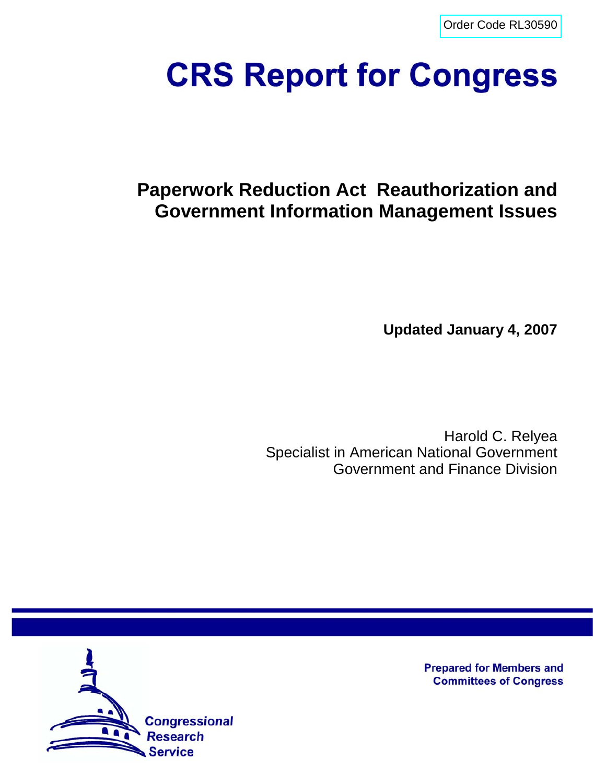[Order Code RL30590](http://www.fas.org/sgp/crs/secrecy/index.html)

# **CRS Report for Congress**

# **Paperwork Reduction Act Reauthorization and Government Information Management Issues**

**Updated January 4, 2007**

Harold C. Relyea Specialist in American National Government Government and Finance Division



**Prepared for Members and Committees of Congress**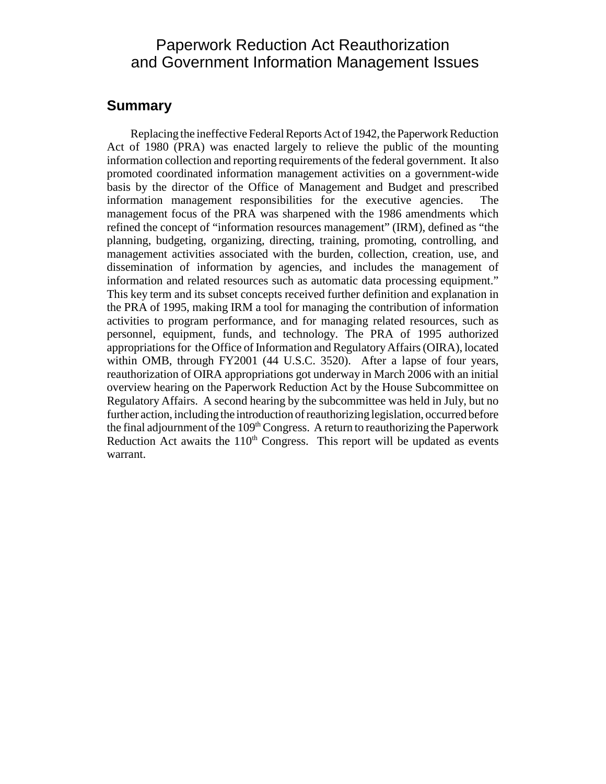# Paperwork Reduction Act Reauthorization and Government Information Management Issues

#### **Summary**

Replacing the ineffective Federal Reports Act of 1942, the Paperwork Reduction Act of 1980 (PRA) was enacted largely to relieve the public of the mounting information collection and reporting requirements of the federal government. It also promoted coordinated information management activities on a government-wide basis by the director of the Office of Management and Budget and prescribed information management responsibilities for the executive agencies. The management focus of the PRA was sharpened with the 1986 amendments which refined the concept of "information resources management" (IRM), defined as "the planning, budgeting, organizing, directing, training, promoting, controlling, and management activities associated with the burden, collection, creation, use, and dissemination of information by agencies, and includes the management of information and related resources such as automatic data processing equipment." This key term and its subset concepts received further definition and explanation in the PRA of 1995, making IRM a tool for managing the contribution of information activities to program performance, and for managing related resources, such as personnel, equipment, funds, and technology. The PRA of 1995 authorized appropriations for the Office of Information and Regulatory Affairs (OIRA), located within OMB, through FY2001 (44 U.S.C. 3520). After a lapse of four years, reauthorization of OIRA appropriations got underway in March 2006 with an initial overview hearing on the Paperwork Reduction Act by the House Subcommittee on Regulatory Affairs. A second hearing by the subcommittee was held in July, but no further action, including the introduction of reauthorizing legislation, occurred before the final adjournment of the  $109<sup>th</sup> Congress$ . A return to reauthorizing the Paperwork Reduction Act awaits the  $110<sup>th</sup>$  Congress. This report will be updated as events warrant.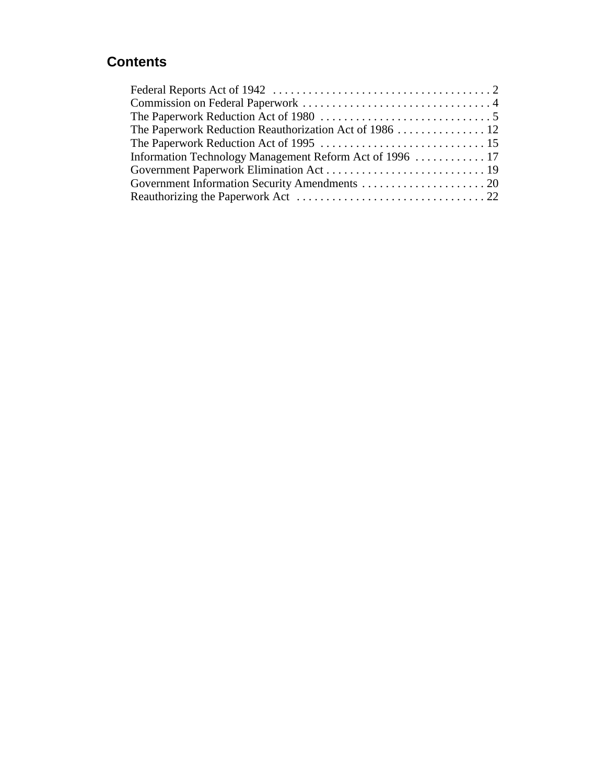# **Contents**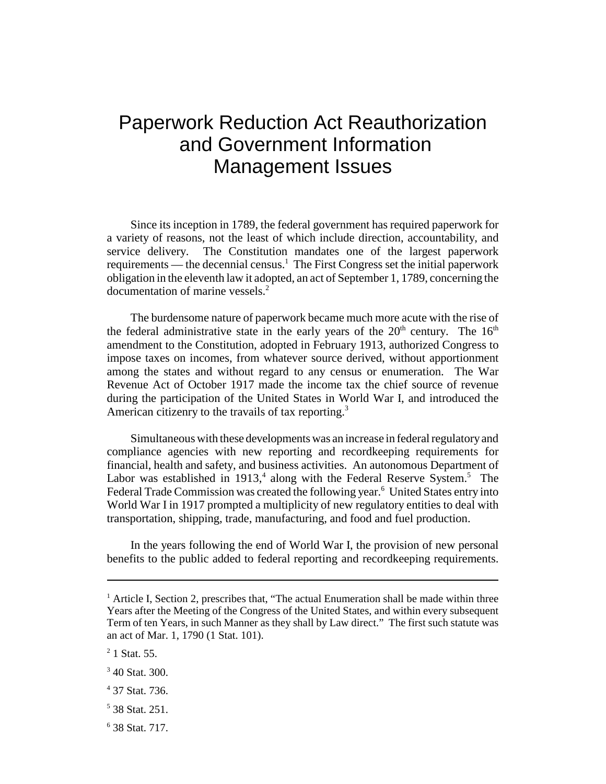# Paperwork Reduction Act Reauthorization and Government Information Management Issues

Since its inception in 1789, the federal government has required paperwork for a variety of reasons, not the least of which include direction, accountability, and service delivery. The Constitution mandates one of the largest paperwork requirements — the decennial census.<sup>1</sup> The First Congress set the initial paperwork obligation in the eleventh law it adopted, an act of September 1, 1789, concerning the documentation of marine vessels.2

The burdensome nature of paperwork became much more acute with the rise of the federal administrative state in the early years of the  $20<sup>th</sup>$  century. The  $16<sup>th</sup>$ amendment to the Constitution, adopted in February 1913, authorized Congress to impose taxes on incomes, from whatever source derived, without apportionment among the states and without regard to any census or enumeration. The War Revenue Act of October 1917 made the income tax the chief source of revenue during the participation of the United States in World War I, and introduced the American citizenry to the travails of tax reporting.<sup>3</sup>

Simultaneous with these developments was an increase in federal regulatory and compliance agencies with new reporting and recordkeeping requirements for financial, health and safety, and business activities. An autonomous Department of Labor was established in  $1913<sup>4</sup>$  along with the Federal Reserve System.<sup>5</sup> The Federal Trade Commission was created the following year.<sup>6</sup> United States entry into World War I in 1917 prompted a multiplicity of new regulatory entities to deal with transportation, shipping, trade, manufacturing, and food and fuel production.

In the years following the end of World War I, the provision of new personal benefits to the public added to federal reporting and recordkeeping requirements.

- 4 37 Stat. 736.
- 5 38 Stat. 251.
- 6 38 Stat. 717.

<sup>&</sup>lt;sup>1</sup> Article I, Section 2, prescribes that, "The actual Enumeration shall be made within three Years after the Meeting of the Congress of the United States, and within every subsequent Term of ten Years, in such Manner as they shall by Law direct." The first such statute was an act of Mar. 1, 1790 (1 Stat. 101).

 $2$  1 Stat. 55.

<sup>3</sup> 40 Stat. 300.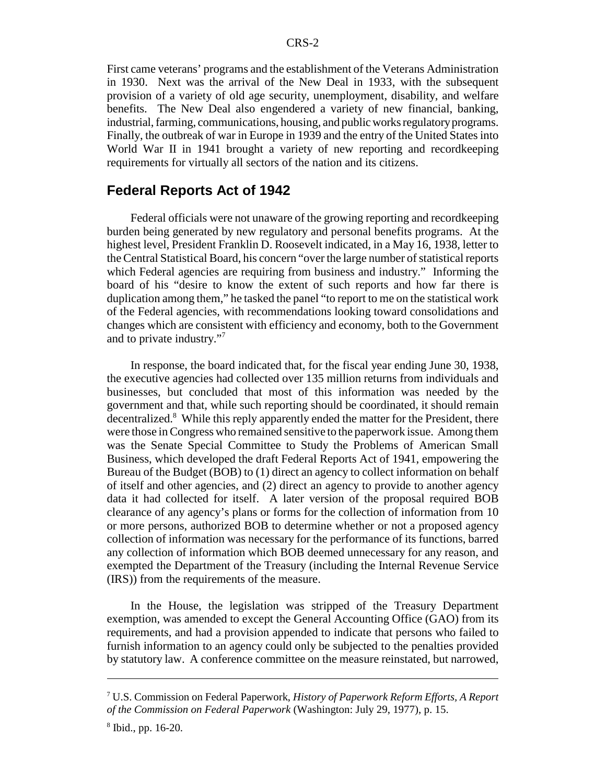First came veterans' programs and the establishment of the Veterans Administration in 1930. Next was the arrival of the New Deal in 1933, with the subsequent provision of a variety of old age security, unemployment, disability, and welfare benefits. The New Deal also engendered a variety of new financial, banking, industrial, farming, communications, housing, and public works regulatory programs. Finally, the outbreak of war in Europe in 1939 and the entry of the United States into World War II in 1941 brought a variety of new reporting and record keeping requirements for virtually all sectors of the nation and its citizens.

#### **Federal Reports Act of 1942**

Federal officials were not unaware of the growing reporting and recordkeeping burden being generated by new regulatory and personal benefits programs. At the highest level, President Franklin D. Roosevelt indicated, in a May 16, 1938, letter to the Central Statistical Board, his concern "over the large number of statistical reports which Federal agencies are requiring from business and industry." Informing the board of his "desire to know the extent of such reports and how far there is duplication among them," he tasked the panel "to report to me on the statistical work of the Federal agencies, with recommendations looking toward consolidations and changes which are consistent with efficiency and economy, both to the Government and to private industry."7

In response, the board indicated that, for the fiscal year ending June 30, 1938, the executive agencies had collected over 135 million returns from individuals and businesses, but concluded that most of this information was needed by the government and that, while such reporting should be coordinated, it should remain decentralized.<sup>8</sup> While this reply apparently ended the matter for the President, there were those in Congress who remained sensitive to the paperwork issue. Among them was the Senate Special Committee to Study the Problems of American Small Business, which developed the draft Federal Reports Act of 1941, empowering the Bureau of the Budget (BOB) to (1) direct an agency to collect information on behalf of itself and other agencies, and (2) direct an agency to provide to another agency data it had collected for itself. A later version of the proposal required BOB clearance of any agency's plans or forms for the collection of information from 10 or more persons, authorized BOB to determine whether or not a proposed agency collection of information was necessary for the performance of its functions, barred any collection of information which BOB deemed unnecessary for any reason, and exempted the Department of the Treasury (including the Internal Revenue Service (IRS)) from the requirements of the measure.

In the House, the legislation was stripped of the Treasury Department exemption, was amended to except the General Accounting Office (GAO) from its requirements, and had a provision appended to indicate that persons who failed to furnish information to an agency could only be subjected to the penalties provided by statutory law. A conference committee on the measure reinstated, but narrowed,

<sup>7</sup> U.S. Commission on Federal Paperwork, *History of Paperwork Reform Efforts, A Report of the Commission on Federal Paperwork* (Washington: July 29, 1977), p. 15.

<sup>8</sup> Ibid., pp. 16-20.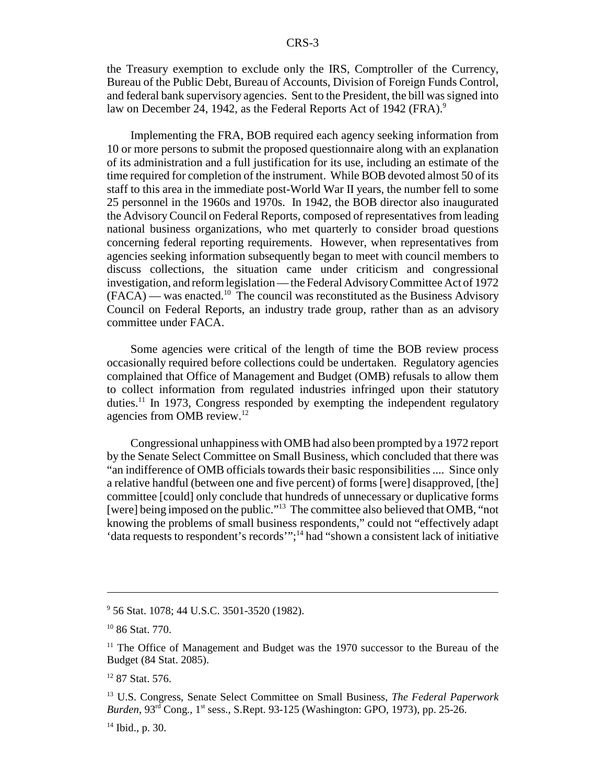the Treasury exemption to exclude only the IRS, Comptroller of the Currency, Bureau of the Public Debt, Bureau of Accounts, Division of Foreign Funds Control, and federal bank supervisory agencies. Sent to the President, the bill was signed into law on December 24, 1942, as the Federal Reports Act of 1942 (FRA).<sup>9</sup>

Implementing the FRA, BOB required each agency seeking information from 10 or more persons to submit the proposed questionnaire along with an explanation of its administration and a full justification for its use, including an estimate of the time required for completion of the instrument. While BOB devoted almost 50 of its staff to this area in the immediate post-World War II years, the number fell to some 25 personnel in the 1960s and 1970s. In 1942, the BOB director also inaugurated the Advisory Council on Federal Reports, composed of representatives from leading national business organizations, who met quarterly to consider broad questions concerning federal reporting requirements. However, when representatives from agencies seeking information subsequently began to meet with council members to discuss collections, the situation came under criticism and congressional investigation, and reform legislation — the Federal Advisory Committee Act of 1972  $(FACA)$  — was enacted.<sup>10</sup> The council was reconstituted as the Business Advisory Council on Federal Reports, an industry trade group, rather than as an advisory committee under FACA.

Some agencies were critical of the length of time the BOB review process occasionally required before collections could be undertaken. Regulatory agencies complained that Office of Management and Budget (OMB) refusals to allow them to collect information from regulated industries infringed upon their statutory duties.<sup>11</sup> In 1973, Congress responded by exempting the independent regulatory agencies from OMB review.12

Congressional unhappiness with OMB had also been prompted by a 1972 report by the Senate Select Committee on Small Business, which concluded that there was "an indifference of OMB officials towards their basic responsibilities .... Since only a relative handful (between one and five percent) of forms [were] disapproved, [the] committee [could] only conclude that hundreds of unnecessary or duplicative forms [were] being imposed on the public."<sup>13</sup> The committee also believed that OMB, "not knowing the problems of small business respondents," could not "effectively adapt 'data requests to respondent's records'";<sup>14</sup> had "shown a consistent lack of initiative

<sup>9</sup> 56 Stat. 1078; 44 U.S.C. 3501-3520 (1982).

<sup>&</sup>lt;sup>10</sup> 86 Stat. 770.

<sup>&</sup>lt;sup>11</sup> The Office of Management and Budget was the 1970 successor to the Bureau of the Budget (84 Stat. 2085).

<sup>&</sup>lt;sup>12</sup> 87 Stat. 576.

<sup>13</sup> U.S. Congress, Senate Select Committee on Small Business, *The Federal Paperwork Burden*, 93<sup>rd</sup> Cong., 1<sup>st</sup> sess., S.Rept. 93-125 (Washington: GPO, 1973), pp. 25-26.

<sup>&</sup>lt;sup>14</sup> Ibid., p. 30.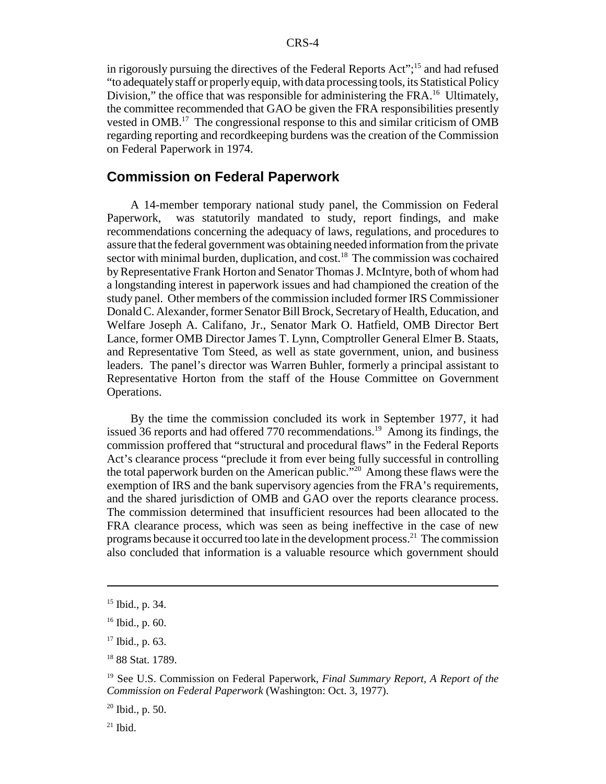in rigorously pursuing the directives of the Federal Reports Act";15 and had refused "to adequately staff or properly equip, with data processing tools, its Statistical Policy Division," the office that was responsible for administering the FRA.<sup>16</sup> Ultimately, the committee recommended that GAO be given the FRA responsibilities presently vested in OMB.<sup>17</sup> The congressional response to this and similar criticism of OMB regarding reporting and recordkeeping burdens was the creation of the Commission on Federal Paperwork in 1974.

#### **Commission on Federal Paperwork**

A 14-member temporary national study panel, the Commission on Federal Paperwork, was statutorily mandated to study, report findings, and make recommendations concerning the adequacy of laws, regulations, and procedures to assure that the federal government was obtaining needed information from the private sector with minimal burden, duplication, and cost.<sup>18</sup> The commission was cochaired by Representative Frank Horton and Senator Thomas J. McIntyre, both of whom had a longstanding interest in paperwork issues and had championed the creation of the study panel. Other members of the commission included former IRS Commissioner Donald C. Alexander, former Senator Bill Brock, Secretary of Health, Education, and Welfare Joseph A. Califano, Jr., Senator Mark O. Hatfield, OMB Director Bert Lance, former OMB Director James T. Lynn, Comptroller General Elmer B. Staats, and Representative Tom Steed, as well as state government, union, and business leaders. The panel's director was Warren Buhler, formerly a principal assistant to Representative Horton from the staff of the House Committee on Government Operations.

By the time the commission concluded its work in September 1977, it had issued 36 reports and had offered 770 recommendations.<sup>19</sup> Among its findings, the commission proffered that "structural and procedural flaws" in the Federal Reports Act's clearance process "preclude it from ever being fully successful in controlling the total paperwork burden on the American public."20 Among these flaws were the exemption of IRS and the bank supervisory agencies from the FRA's requirements, and the shared jurisdiction of OMB and GAO over the reports clearance process. The commission determined that insufficient resources had been allocated to the FRA clearance process, which was seen as being ineffective in the case of new programs because it occurred too late in the development process.21 The commission also concluded that information is a valuable resource which government should

<sup>15</sup> Ibid., p. 34.

 $16$  Ibid., p. 60.

 $17$  Ibid., p. 63.

<sup>&</sup>lt;sup>18</sup> 88 Stat. 1789.

<sup>19</sup> See U.S. Commission on Federal Paperwork, *Final Summary Report, A Report of the Commission on Federal Paperwork* (Washington: Oct. 3, 1977).

 $20$  Ibid., p. 50.

 $21$  Ibid.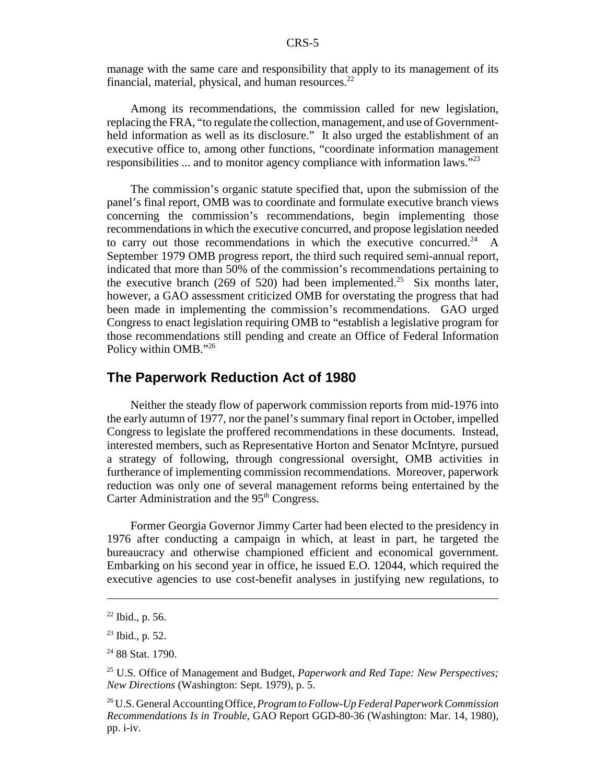manage with the same care and responsibility that apply to its management of its financial, material, physical, and human resources. $^{22}$ 

Among its recommendations, the commission called for new legislation, replacing the FRA, "to regulate the collection, management, and use of Governmentheld information as well as its disclosure." It also urged the establishment of an executive office to, among other functions, "coordinate information management responsibilities ... and to monitor agency compliance with information laws."<sup>23</sup>

The commission's organic statute specified that, upon the submission of the panel's final report, OMB was to coordinate and formulate executive branch views concerning the commission's recommendations, begin implementing those recommendations in which the executive concurred, and propose legislation needed to carry out those recommendations in which the executive concurred. $24$  A September 1979 OMB progress report, the third such required semi-annual report, indicated that more than 50% of the commission's recommendations pertaining to the executive branch (269 of 520) had been implemented.<sup>25</sup> Six months later, however, a GAO assessment criticized OMB for overstating the progress that had been made in implementing the commission's recommendations. GAO urged Congress to enact legislation requiring OMB to "establish a legislative program for those recommendations still pending and create an Office of Federal Information Policy within OMB."26

#### **The Paperwork Reduction Act of 1980**

Neither the steady flow of paperwork commission reports from mid-1976 into the early autumn of 1977, nor the panel's summary final report in October, impelled Congress to legislate the proffered recommendations in these documents. Instead, interested members, such as Representative Horton and Senator McIntyre, pursued a strategy of following, through congressional oversight, OMB activities in furtherance of implementing commission recommendations. Moreover, paperwork reduction was only one of several management reforms being entertained by the Carter Administration and the 95<sup>th</sup> Congress.

Former Georgia Governor Jimmy Carter had been elected to the presidency in 1976 after conducting a campaign in which, at least in part, he targeted the bureaucracy and otherwise championed efficient and economical government. Embarking on his second year in office, he issued E.O. 12044, which required the executive agencies to use cost-benefit analyses in justifying new regulations, to

 $22$  Ibid., p. 56.

<sup>23</sup> Ibid., p. 52.

<sup>24 88</sup> Stat. 1790.

<sup>25</sup> U.S. Office of Management and Budget, *Paperwork and Red Tape: New Perspectives; New Directions* (Washington: Sept. 1979), p. 5.

<sup>26</sup> U.S. General Accounting Office, *Program to Follow-Up Federal Paperwork Commission Recommendations Is in Trouble*, GAO Report GGD-80-36 (Washington: Mar. 14, 1980), pp. i-iv.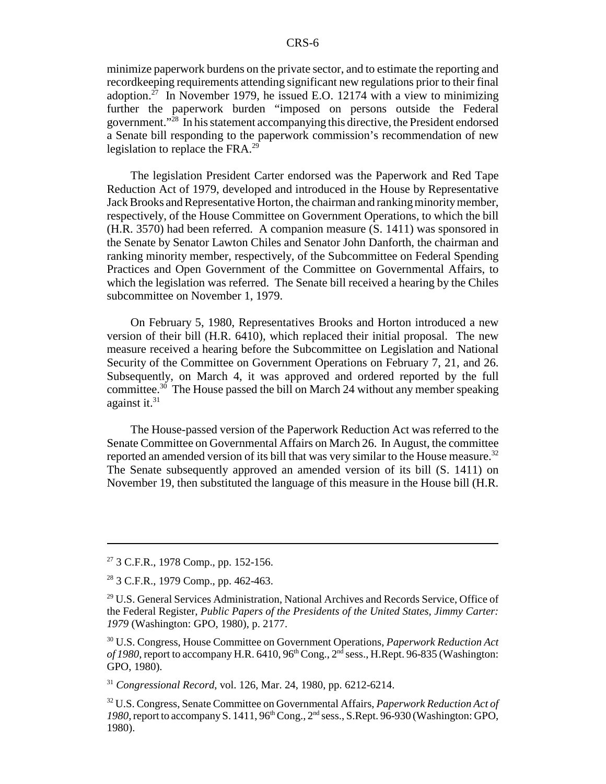minimize paperwork burdens on the private sector, and to estimate the reporting and recordkeeping requirements attending significant new regulations prior to their final adoption.<sup>27</sup> In November 1979, he issued E.O. 12174 with a view to minimizing further the paperwork burden "imposed on persons outside the Federal government."28 In his statement accompanying this directive, the President endorsed a Senate bill responding to the paperwork commission's recommendation of new legislation to replace the FRA.<sup>29</sup>

The legislation President Carter endorsed was the Paperwork and Red Tape Reduction Act of 1979, developed and introduced in the House by Representative Jack Brooks and Representative Horton, the chairman and ranking minority member, respectively, of the House Committee on Government Operations, to which the bill (H.R. 3570) had been referred. A companion measure (S. 1411) was sponsored in the Senate by Senator Lawton Chiles and Senator John Danforth, the chairman and ranking minority member, respectively, of the Subcommittee on Federal Spending Practices and Open Government of the Committee on Governmental Affairs, to which the legislation was referred. The Senate bill received a hearing by the Chiles subcommittee on November 1, 1979.

On February 5, 1980, Representatives Brooks and Horton introduced a new version of their bill (H.R. 6410), which replaced their initial proposal. The new measure received a hearing before the Subcommittee on Legislation and National Security of the Committee on Government Operations on February 7, 21, and 26. Subsequently, on March 4, it was approved and ordered reported by the full committee.<sup>30</sup> The House passed the bill on March 24 without any member speaking against it. $31$ 

The House-passed version of the Paperwork Reduction Act was referred to the Senate Committee on Governmental Affairs on March 26. In August, the committee reported an amended version of its bill that was very similar to the House measure.<sup>32</sup> The Senate subsequently approved an amended version of its bill (S. 1411) on November 19, then substituted the language of this measure in the House bill (H.R.

<sup>31</sup> *Congressional Record*, vol. 126, Mar. 24, 1980, pp. 6212-6214.

<sup>27 3</sup> C.F.R., 1978 Comp., pp. 152-156.

<sup>28 3</sup> C.F.R., 1979 Comp., pp. 462-463.

<sup>29</sup> U.S. General Services Administration, National Archives and Records Service, Office of the Federal Register, *Public Papers of the Presidents of the United States, Jimmy Carter: 1979* (Washington: GPO, 1980), p. 2177.

<sup>30</sup> U.S. Congress, House Committee on Government Operations, *Paperwork Reduction Act of 1980*, report to accompany H.R.  $6410, 96<sup>th</sup> Cong.,  $2<sup>nd</sup>$  sess., H.Rept. 96-835 (Washington:$ GPO, 1980).

<sup>32</sup> U.S. Congress, Senate Committee on Governmental Affairs, *Paperwork Reduction Act of* 1980, report to accompany S. 1411, 96<sup>th</sup> Cong., 2<sup>nd</sup> sess., S. Rept. 96-930 (Washington: GPO, 1980).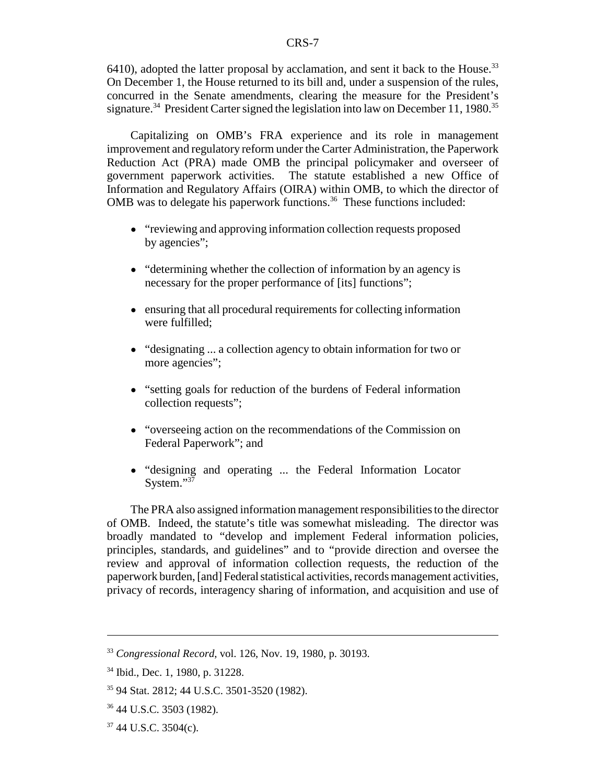6410), adopted the latter proposal by acclamation, and sent it back to the House.<sup>33</sup> On December 1, the House returned to its bill and, under a suspension of the rules, concurred in the Senate amendments, clearing the measure for the President's signature.<sup>34</sup> President Carter signed the legislation into law on December 11, 1980.<sup>35</sup>

Capitalizing on OMB's FRA experience and its role in management improvement and regulatory reform under the Carter Administration, the Paperwork Reduction Act (PRA) made OMB the principal policymaker and overseer of government paperwork activities. The statute established a new Office of Information and Regulatory Affairs (OIRA) within OMB, to which the director of OMB was to delegate his paperwork functions.<sup>36</sup> These functions included:

- "reviewing and approving information collection requests proposed by agencies";
- "determining whether the collection of information by an agency is necessary for the proper performance of [its] functions";
- ensuring that all procedural requirements for collecting information were fulfilled;
- "designating ... a collection agency to obtain information for two or more agencies";
- "setting goals for reduction of the burdens of Federal information collection requests";
- "overseeing action on the recommendations of the Commission on Federal Paperwork"; and
- ! "designing and operating ... the Federal Information Locator System."<sup>37</sup>

The PRA also assigned information management responsibilities to the director of OMB. Indeed, the statute's title was somewhat misleading. The director was broadly mandated to "develop and implement Federal information policies, principles, standards, and guidelines" and to "provide direction and oversee the review and approval of information collection requests, the reduction of the paperwork burden, [and] Federal statistical activities, records management activities, privacy of records, interagency sharing of information, and acquisition and use of

<sup>33</sup> *Congressional Record*, vol. 126, Nov. 19, 1980, p. 30193.

<sup>34</sup> Ibid., Dec. 1, 1980, p. 31228.

<sup>35 94</sup> Stat. 2812; 44 U.S.C. 3501-3520 (1982).

<sup>36 44</sup> U.S.C. 3503 (1982).

 $37$  44 U.S.C. 3504(c).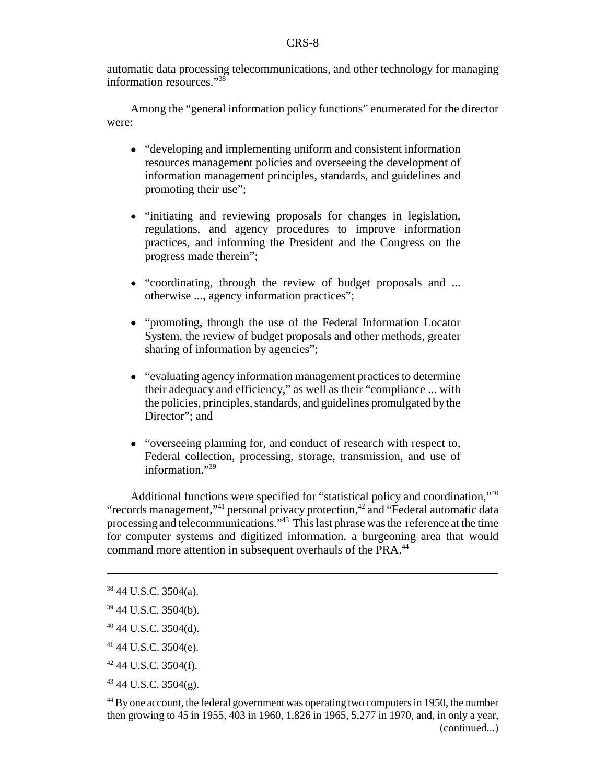automatic data processing telecommunications, and other technology for managing information resources."38

Among the "general information policy functions" enumerated for the director were:

- "developing and implementing uniform and consistent information resources management policies and overseeing the development of information management principles, standards, and guidelines and promoting their use";
- "initiating and reviewing proposals for changes in legislation, regulations, and agency procedures to improve information practices, and informing the President and the Congress on the progress made therein";
- "coordinating, through the review of budget proposals and ... otherwise ..., agency information practices";
- "promoting, through the use of the Federal Information Locator" System, the review of budget proposals and other methods, greater sharing of information by agencies";
- "evaluating agency information management practices to determine their adequacy and efficiency," as well as their "compliance ... with the policies, principles, standards, and guidelines promulgated by the Director"; and
- "overseeing planning for, and conduct of research with respect to, Federal collection, processing, storage, transmission, and use of information."39

Additional functions were specified for "statistical policy and coordination,"40 "records management,"<sup>41</sup> personal privacy protection,  $42$  and "Federal automatic data" processing and telecommunications."43 This last phrase was the reference at the time for computer systems and digitized information, a burgeoning area that would command more attention in subsequent overhauls of the PRA.<sup>44</sup>

- $42$  44 U.S.C. 3504(f).
- 43 44 U.S.C. 3504(g).

 $38\,44$  U.S.C. 3504(a).

<sup>39 44</sup> U.S.C. 3504(b).

<sup>40 44</sup> U.S.C. 3504(d).

<sup>41 44</sup> U.S.C. 3504(e).

<sup>&</sup>lt;sup>44</sup> By one account, the federal government was operating two computers in 1950, the number then growing to 45 in 1955, 403 in 1960, 1,826 in 1965, 5,277 in 1970, and, in only a year, (continued...)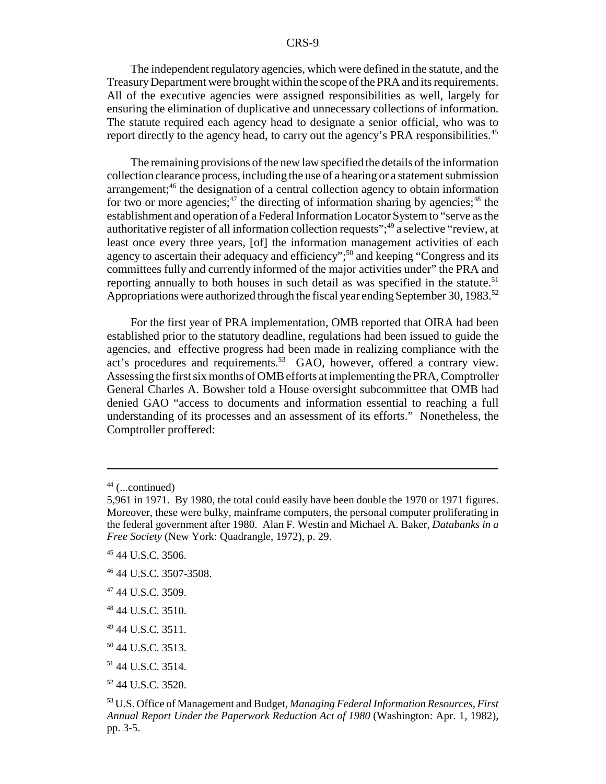The independent regulatory agencies, which were defined in the statute, and the Treasury Department were brought within the scope of the PRA and its requirements. All of the executive agencies were assigned responsibilities as well, largely for ensuring the elimination of duplicative and unnecessary collections of information. The statute required each agency head to designate a senior official, who was to report directly to the agency head, to carry out the agency's PRA responsibilities.<sup>45</sup>

The remaining provisions of the new law specified the details of the information collection clearance process, including the use of a hearing or a statement submission  $\alpha$ arrangement;<sup>46</sup> the designation of a central collection agency to obtain information for two or more agencies;<sup>47</sup> the directing of information sharing by agencies;<sup>48</sup> the establishment and operation of a Federal Information Locator System to "serve as the authoritative register of all information collection requests";<sup>49</sup> a selective "review, at least once every three years, [of] the information management activities of each agency to ascertain their adequacy and efficiency";<sup>50</sup> and keeping "Congress and its committees fully and currently informed of the major activities under" the PRA and reporting annually to both houses in such detail as was specified in the statute. $51$ Appropriations were authorized through the fiscal year ending September 30, 1983.<sup>52</sup>

For the first year of PRA implementation, OMB reported that OIRA had been established prior to the statutory deadline, regulations had been issued to guide the agencies, and effective progress had been made in realizing compliance with the act's procedures and requirements.<sup>53</sup> GAO, however, offered a contrary view. Assessing the first six months of OMB efforts at implementing the PRA, Comptroller General Charles A. Bowsher told a House oversight subcommittee that OMB had denied GAO "access to documents and information essential to reaching a full understanding of its processes and an assessment of its efforts." Nonetheless, the Comptroller proffered:

 $44$  (...continued)

<sup>5,961</sup> in 1971. By 1980, the total could easily have been double the 1970 or 1971 figures. Moreover, these were bulky, mainframe computers, the personal computer proliferating in the federal government after 1980. Alan F. Westin and Michael A. Baker, *Databanks in a Free Society* (New York: Quadrangle, 1972), p. 29.

<sup>45 44</sup> U.S.C. 3506.

<sup>46 44</sup> U.S.C. 3507-3508.

<sup>47 44</sup> U.S.C. 3509.

<sup>48 44</sup> U.S.C. 3510.

<sup>49 44</sup> U.S.C. 3511.

<sup>50 44</sup> U.S.C. 3513.

<sup>51 44</sup> U.S.C. 3514.

<sup>52 44</sup> U.S.C. 3520.

<sup>53</sup> U.S. Office of Management and Budget, *Managing Federal Information Resources, First Annual Report Under the Paperwork Reduction Act of 1980* (Washington: Apr. 1, 1982), pp. 3-5.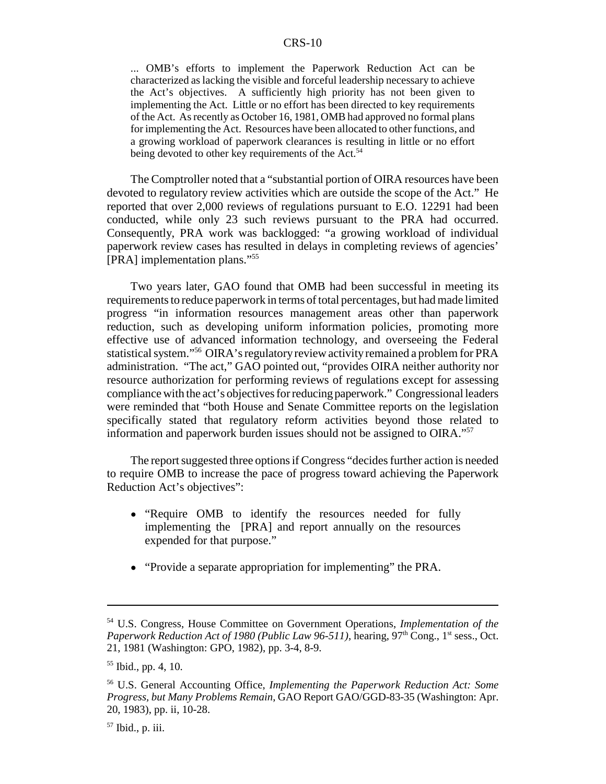... OMB's efforts to implement the Paperwork Reduction Act can be characterized as lacking the visible and forceful leadership necessary to achieve the Act's objectives. A sufficiently high priority has not been given to implementing the Act. Little or no effort has been directed to key requirements of the Act. As recently as October 16, 1981, OMB had approved no formal plans for implementing the Act. Resources have been allocated to other functions, and a growing workload of paperwork clearances is resulting in little or no effort being devoted to other key requirements of the Act.<sup>54</sup>

The Comptroller noted that a "substantial portion of OIRA resources have been devoted to regulatory review activities which are outside the scope of the Act." He reported that over 2,000 reviews of regulations pursuant to E.O. 12291 had been conducted, while only 23 such reviews pursuant to the PRA had occurred. Consequently, PRA work was backlogged: "a growing workload of individual paperwork review cases has resulted in delays in completing reviews of agencies' [PRA] implementation plans."55

Two years later, GAO found that OMB had been successful in meeting its requirements to reduce paperwork in terms of total percentages, but had made limited progress "in information resources management areas other than paperwork reduction, such as developing uniform information policies, promoting more effective use of advanced information technology, and overseeing the Federal statistical system."56 OIRA's regulatory review activity remained a problem for PRA administration. "The act," GAO pointed out, "provides OIRA neither authority nor resource authorization for performing reviews of regulations except for assessing compliance with the act's objectives for reducing paperwork." Congressional leaders were reminded that "both House and Senate Committee reports on the legislation specifically stated that regulatory reform activities beyond those related to information and paperwork burden issues should not be assigned to OIRA."57

The report suggested three options if Congress "decides further action is needed to require OMB to increase the pace of progress toward achieving the Paperwork Reduction Act's objectives":

- "Require OMB to identify the resources needed for fully implementing the [PRA] and report annually on the resources expended for that purpose."
- ! "Provide a separate appropriation for implementing" the PRA.

<sup>54</sup> U.S. Congress, House Committee on Government Operations, *Implementation of the Paperwork Reduction Act of 1980 (Public Law 96-511)*, hearing, 97<sup>th</sup> Cong., 1<sup>st</sup> sess., Oct. 21, 1981 (Washington: GPO, 1982), pp. 3-4, 8-9.

<sup>55</sup> Ibid., pp. 4, 10.

<sup>56</sup> U.S. General Accounting Office, *Implementing the Paperwork Reduction Act: Some Progress, but Many Problems Remain*, GAO Report GAO/GGD-83-35 (Washington: Apr. 20, 1983), pp. ii, 10-28.

 $57$  Ibid., p. iii.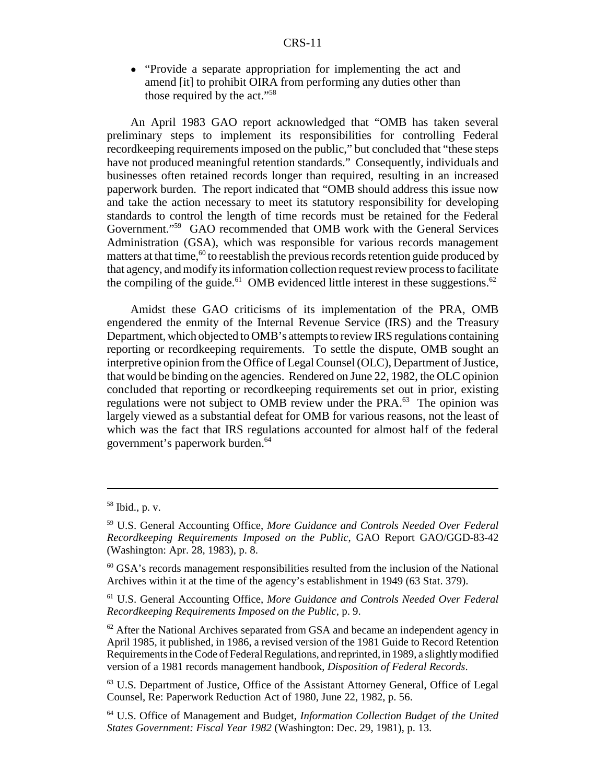• "Provide a separate appropriation for implementing the act and amend [it] to prohibit OIRA from performing any duties other than those required by the act."58

An April 1983 GAO report acknowledged that "OMB has taken several preliminary steps to implement its responsibilities for controlling Federal recordkeeping requirements imposed on the public," but concluded that "these steps have not produced meaningful retention standards." Consequently, individuals and businesses often retained records longer than required, resulting in an increased paperwork burden. The report indicated that "OMB should address this issue now and take the action necessary to meet its statutory responsibility for developing standards to control the length of time records must be retained for the Federal Government."59 GAO recommended that OMB work with the General Services Administration (GSA), which was responsible for various records management matters at that time, $60$  to reestablish the previous records retention guide produced by that agency, and modify its information collection request review process to facilitate the compiling of the guide.<sup>61</sup> OMB evidenced little interest in these suggestions.<sup>62</sup>

Amidst these GAO criticisms of its implementation of the PRA, OMB engendered the enmity of the Internal Revenue Service (IRS) and the Treasury Department, which objected to OMB's attempts to review IRS regulations containing reporting or recordkeeping requirements. To settle the dispute, OMB sought an interpretive opinion from the Office of Legal Counsel (OLC), Department of Justice, that would be binding on the agencies. Rendered on June 22, 1982, the OLC opinion concluded that reporting or recordkeeping requirements set out in prior, existing regulations were not subject to OMB review under the PRA.<sup>63</sup> The opinion was largely viewed as a substantial defeat for OMB for various reasons, not the least of which was the fact that IRS regulations accounted for almost half of the federal government's paperwork burden.<sup>64</sup>

<sup>58</sup> Ibid., p. v.

<sup>59</sup> U.S. General Accounting Office, *More Guidance and Controls Needed Over Federal Recordkeeping Requirements Imposed on the Public*, GAO Report GAO/GGD-83-42 (Washington: Apr. 28, 1983), p. 8.

<sup>&</sup>lt;sup>60</sup> GSA's records management responsibilities resulted from the inclusion of the National Archives within it at the time of the agency's establishment in 1949 (63 Stat. 379).

<sup>61</sup> U.S. General Accounting Office, *More Guidance and Controls Needed Over Federal Recordkeeping Requirements Imposed on the Public*, p. 9.

 $62$  After the National Archives separated from GSA and became an independent agency in April 1985, it published, in 1986, a revised version of the 1981 Guide to Record Retention Requirements in the Code of Federal Regulations, and reprinted, in 1989, a slightly modified version of a 1981 records management handbook, *Disposition of Federal Records*.

<sup>63</sup> U.S. Department of Justice, Office of the Assistant Attorney General, Office of Legal Counsel, Re: Paperwork Reduction Act of 1980, June 22, 1982, p. 56.

<sup>64</sup> U.S. Office of Management and Budget, *Information Collection Budget of the United States Government: Fiscal Year 1982* (Washington: Dec. 29, 1981), p. 13.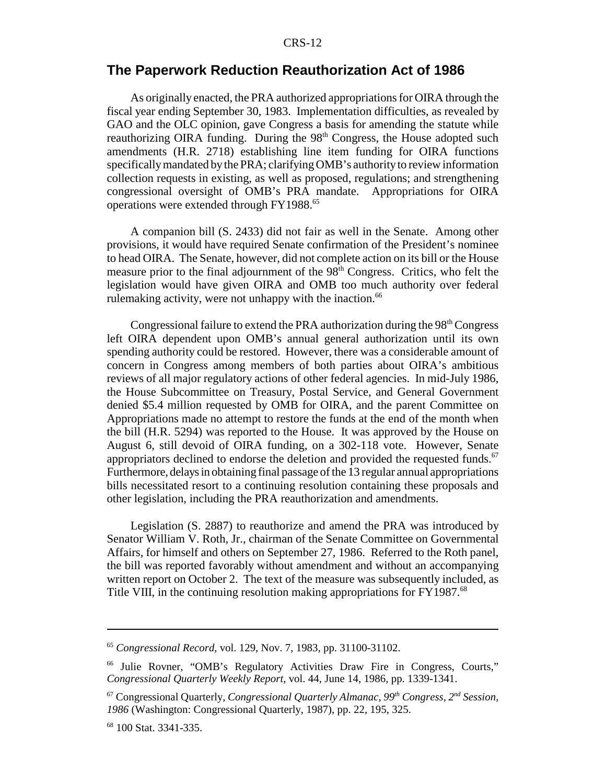#### **The Paperwork Reduction Reauthorization Act of 1986**

As originally enacted, the PRA authorized appropriations for OIRA through the fiscal year ending September 30, 1983. Implementation difficulties, as revealed by GAO and the OLC opinion, gave Congress a basis for amending the statute while reauthorizing OIRA funding. During the  $98<sup>th</sup>$  Congress, the House adopted such amendments (H.R. 2718) establishing line item funding for OIRA functions specifically mandated by the PRA; clarifying OMB's authority to review information collection requests in existing, as well as proposed, regulations; and strengthening congressional oversight of OMB's PRA mandate. Appropriations for OIRA operations were extended through FY1988.<sup>65</sup>

A companion bill (S. 2433) did not fair as well in the Senate. Among other provisions, it would have required Senate confirmation of the President's nominee to head OIRA. The Senate, however, did not complete action on its bill or the House measure prior to the final adjournment of the 98<sup>th</sup> Congress. Critics, who felt the legislation would have given OIRA and OMB too much authority over federal rulemaking activity, were not unhappy with the inaction.<sup>66</sup>

Congressional failure to extend the PRA authorization during the  $98<sup>th</sup> Congress$ left OIRA dependent upon OMB's annual general authorization until its own spending authority could be restored. However, there was a considerable amount of concern in Congress among members of both parties about OIRA's ambitious reviews of all major regulatory actions of other federal agencies. In mid-July 1986, the House Subcommittee on Treasury, Postal Service, and General Government denied \$5.4 million requested by OMB for OIRA, and the parent Committee on Appropriations made no attempt to restore the funds at the end of the month when the bill (H.R. 5294) was reported to the House. It was approved by the House on August 6, still devoid of OIRA funding, on a 302-118 vote. However, Senate appropriators declined to endorse the deletion and provided the requested funds. $67$ Furthermore, delays in obtaining final passage of the 13 regular annual appropriations bills necessitated resort to a continuing resolution containing these proposals and other legislation, including the PRA reauthorization and amendments.

Legislation (S. 2887) to reauthorize and amend the PRA was introduced by Senator William V. Roth, Jr., chairman of the Senate Committee on Governmental Affairs, for himself and others on September 27, 1986. Referred to the Roth panel, the bill was reported favorably without amendment and without an accompanying written report on October 2. The text of the measure was subsequently included, as Title VIII, in the continuing resolution making appropriations for FY1987.<sup>68</sup>

<sup>65</sup> *Congressional Record*, vol. 129, Nov. 7, 1983, pp. 31100-31102.

<sup>66</sup> Julie Rovner, "OMB's Regulatory Activities Draw Fire in Congress, Courts," *Congressional Quarterly Weekly Report*, vol. 44, June 14, 1986, pp. 1339-1341.

<sup>67</sup> Congressional Quarterly, *Congressional Quarterly Almanac, 99th Congress, 2nd Session, 1986* (Washington: Congressional Quarterly, 1987), pp. 22, 195, 325.

<sup>68 100</sup> Stat. 3341-335.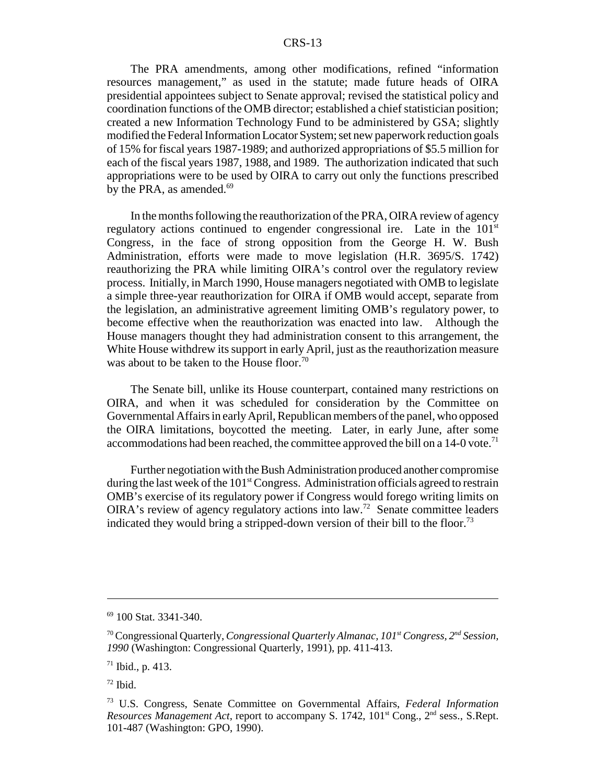The PRA amendments, among other modifications, refined "information resources management," as used in the statute; made future heads of OIRA presidential appointees subject to Senate approval; revised the statistical policy and coordination functions of the OMB director; established a chief statistician position; created a new Information Technology Fund to be administered by GSA; slightly modified the Federal Information Locator System; set new paperwork reduction goals of 15% for fiscal years 1987-1989; and authorized appropriations of \$5.5 million for each of the fiscal years 1987, 1988, and 1989. The authorization indicated that such appropriations were to be used by OIRA to carry out only the functions prescribed by the PRA, as amended. $69$ 

In the months following the reauthorization of the PRA, OIRA review of agency regulatory actions continued to engender congressional ire. Late in the  $101<sup>st</sup>$ Congress, in the face of strong opposition from the George H. W. Bush Administration, efforts were made to move legislation (H.R. 3695/S. 1742) reauthorizing the PRA while limiting OIRA's control over the regulatory review process. Initially, in March 1990, House managers negotiated with OMB to legislate a simple three-year reauthorization for OIRA if OMB would accept, separate from the legislation, an administrative agreement limiting OMB's regulatory power, to become effective when the reauthorization was enacted into law. Although the House managers thought they had administration consent to this arrangement, the White House withdrew its support in early April, just as the reauthorization measure was about to be taken to the House floor.<sup>70</sup>

The Senate bill, unlike its House counterpart, contained many restrictions on OIRA, and when it was scheduled for consideration by the Committee on Governmental Affairs in early April, Republican members of the panel, who opposed the OIRA limitations, boycotted the meeting. Later, in early June, after some accommodations had been reached, the committee approved the bill on a  $14$ -0 vote.<sup>71</sup>

Further negotiation with the Bush Administration produced another compromise during the last week of the 101<sup>st</sup> Congress. Administration officials agreed to restrain OMB's exercise of its regulatory power if Congress would forego writing limits on OIRA's review of agency regulatory actions into law.<sup>72</sup> Senate committee leaders indicated they would bring a stripped-down version of their bill to the floor.<sup>73</sup>

<sup>69 100</sup> Stat. 3341-340.

<sup>70</sup> Congressional Quarterly, *Congressional Quarterly Almanac, 101st Congress, 2nd Session, 1990* (Washington: Congressional Quarterly, 1991), pp. 411-413.

 $71$  Ibid., p. 413.

 $72$  Ibid.

<sup>73</sup> U.S. Congress, Senate Committee on Governmental Affairs, *Federal Information Resources Management Act*, report to accompany S. 1742, 101<sup>st</sup> Cong., 2<sup>nd</sup> sess., S.Rept. 101-487 (Washington: GPO, 1990).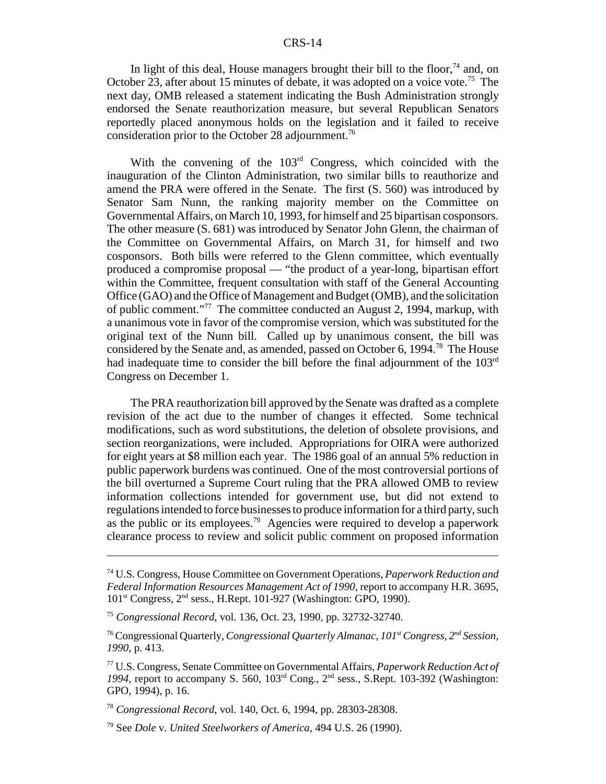In light of this deal, House managers brought their bill to the floor,  $74$  and, on October 23, after about 15 minutes of debate, it was adopted on a voice vote.<sup>75</sup> The next day, OMB released a statement indicating the Bush Administration strongly endorsed the Senate reauthorization measure, but several Republican Senators reportedly placed anonymous holds on the legislation and it failed to receive consideration prior to the October 28 adjournment.<sup>76</sup>

With the convening of the 103<sup>rd</sup> Congress, which coincided with the inauguration of the Clinton Administration, two similar bills to reauthorize and amend the PRA were offered in the Senate. The first (S. 560) was introduced by Senator Sam Nunn, the ranking majority member on the Committee on Governmental Affairs, on March 10, 1993, for himself and 25 bipartisan cosponsors. The other measure (S. 681) was introduced by Senator John Glenn, the chairman of the Committee on Governmental Affairs, on March 31, for himself and two cosponsors. Both bills were referred to the Glenn committee, which eventually produced a compromise proposal — "the product of a year-long, bipartisan effort within the Committee, frequent consultation with staff of the General Accounting Office (GAO) and the Office of Management and Budget (OMB), and the solicitation of public comment."77 The committee conducted an August 2, 1994, markup, with a unanimous vote in favor of the compromise version, which was substituted for the original text of the Nunn bill. Called up by unanimous consent, the bill was considered by the Senate and, as amended, passed on October 6, 1994.78 The House had inadequate time to consider the bill before the final adjournment of the 103<sup>rd</sup> Congress on December 1.

The PRA reauthorization bill approved by the Senate was drafted as a complete revision of the act due to the number of changes it effected. Some technical modifications, such as word substitutions, the deletion of obsolete provisions, and section reorganizations, were included. Appropriations for OIRA were authorized for eight years at \$8 million each year. The 1986 goal of an annual 5% reduction in public paperwork burdens was continued. One of the most controversial portions of the bill overturned a Supreme Court ruling that the PRA allowed OMB to review information collections intended for government use, but did not extend to regulations intended to force businesses to produce information for a third party, such as the public or its employees.<sup>79</sup> Agencies were required to develop a paperwork clearance process to review and solicit public comment on proposed information

<sup>74</sup> U.S. Congress, House Committee on Government Operations, *Paperwork Reduction and Federal Information Resources Management Act of 1990*, report to accompany H.R. 3695, 101st Congress, 2nd sess., H.Rept. 101-927 (Washington: GPO, 1990).

<sup>75</sup> *Congressional Record*, vol. 136, Oct. 23, 1990, pp. 32732-32740.

<sup>76</sup> Congressional Quarterly, *Congressional Quarterly Almanac, 101st Congress, 2nd Session, 1990*, p. 413.

<sup>77</sup> U.S. Congress, Senate Committee on Governmental Affairs, *Paperwork Reduction Act of* 1994, report to accompany S. 560, 103<sup>rd</sup> Cong., 2<sup>nd</sup> sess., S.Rept. 103-392 (Washington: GPO, 1994), p. 16.

<sup>78</sup> *Congressional Record*, vol. 140, Oct. 6, 1994, pp. 28303-28308.

<sup>79</sup> See *Dole* v. *United Steelworkers of America*, 494 U.S. 26 (1990).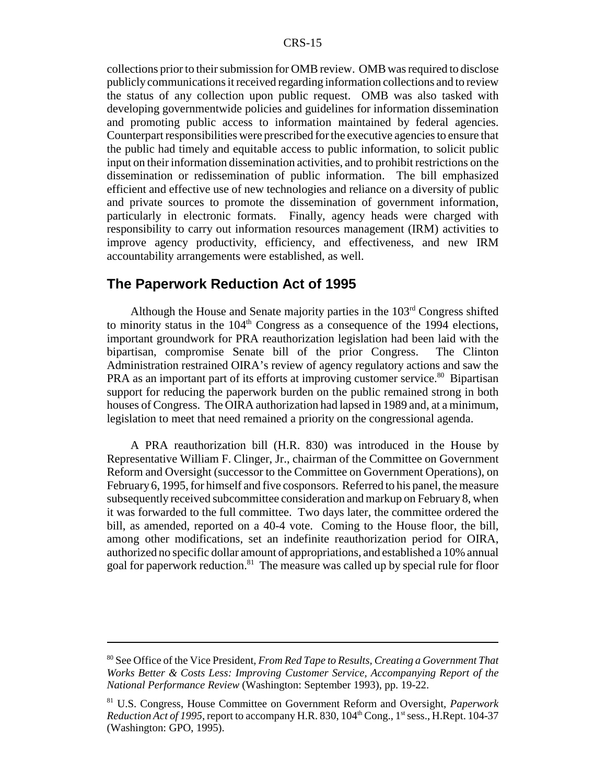collections prior to their submission for OMB review. OMB was required to disclose publicly communications it received regarding information collections and to review the status of any collection upon public request. OMB was also tasked with developing governmentwide policies and guidelines for information dissemination and promoting public access to information maintained by federal agencies. Counterpart responsibilities were prescribed for the executive agencies to ensure that the public had timely and equitable access to public information, to solicit public input on their information dissemination activities, and to prohibit restrictions on the dissemination or redissemination of public information. The bill emphasized efficient and effective use of new technologies and reliance on a diversity of public and private sources to promote the dissemination of government information, particularly in electronic formats. Finally, agency heads were charged with responsibility to carry out information resources management (IRM) activities to improve agency productivity, efficiency, and effectiveness, and new IRM accountability arrangements were established, as well.

#### **The Paperwork Reduction Act of 1995**

Although the House and Senate majority parties in the 103rd Congress shifted to minority status in the  $104<sup>th</sup>$  Congress as a consequence of the 1994 elections, important groundwork for PRA reauthorization legislation had been laid with the bipartisan, compromise Senate bill of the prior Congress. The Clinton Administration restrained OIRA's review of agency regulatory actions and saw the PRA as an important part of its efforts at improving customer service.<sup>80</sup> Bipartisan support for reducing the paperwork burden on the public remained strong in both houses of Congress. The OIRA authorization had lapsed in 1989 and, at a minimum, legislation to meet that need remained a priority on the congressional agenda.

A PRA reauthorization bill (H.R. 830) was introduced in the House by Representative William F. Clinger, Jr., chairman of the Committee on Government Reform and Oversight (successor to the Committee on Government Operations), on February 6, 1995, for himself and five cosponsors. Referred to his panel, the measure subsequently received subcommittee consideration and markup on February 8, when it was forwarded to the full committee. Two days later, the committee ordered the bill, as amended, reported on a 40-4 vote. Coming to the House floor, the bill, among other modifications, set an indefinite reauthorization period for OIRA, authorized no specific dollar amount of appropriations, and established a 10% annual goal for paperwork reduction.<sup>81</sup> The measure was called up by special rule for floor

<sup>80</sup> See Office of the Vice President, *From Red Tape to Results, Creating a Government That Works Better & Costs Less: Improving Customer Service, Accompanying Report of the National Performance Review* (Washington: September 1993), pp. 19-22.

<sup>81</sup> U.S. Congress, House Committee on Government Reform and Oversight, *Paperwork Reduction Act of 1995*, report to accompany H.R. 830, 104<sup>th</sup> Cong., 1<sup>st</sup> sess., H.Rept. 104-37 (Washington: GPO, 1995).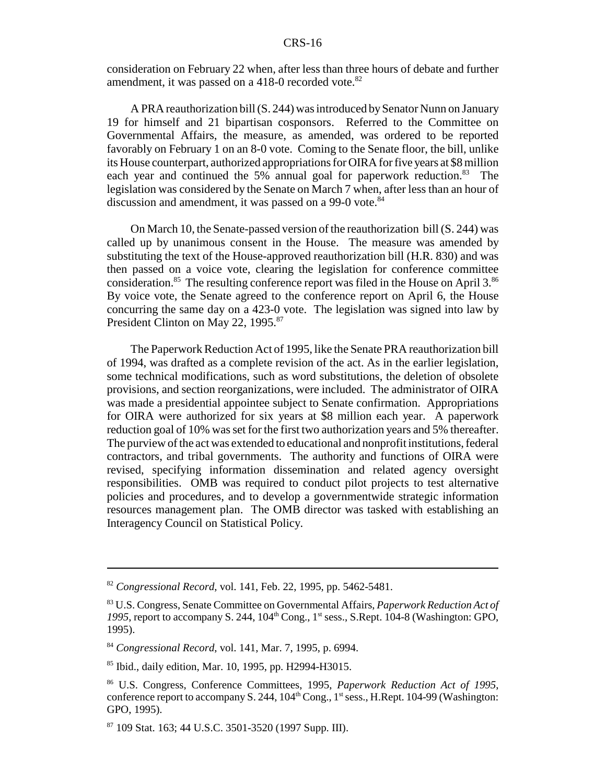consideration on February 22 when, after less than three hours of debate and further amendment, it was passed on a 418-0 recorded vote. $82$ 

A PRA reauthorization bill (S. 244) was introduced by Senator Nunn on January 19 for himself and 21 bipartisan cosponsors. Referred to the Committee on Governmental Affairs, the measure, as amended, was ordered to be reported favorably on February 1 on an 8-0 vote. Coming to the Senate floor, the bill, unlike its House counterpart, authorized appropriations for OIRA for five years at \$8 million each year and continued the  $5\%$  annual goal for paperwork reduction.<sup>83</sup> The legislation was considered by the Senate on March 7 when, after less than an hour of discussion and amendment, it was passed on a 99-0 vote.<sup>84</sup>

On March 10, the Senate-passed version of the reauthorization bill (S. 244) was called up by unanimous consent in the House. The measure was amended by substituting the text of the House-approved reauthorization bill (H.R. 830) and was then passed on a voice vote, clearing the legislation for conference committee consideration.<sup>85</sup> The resulting conference report was filed in the House on April 3. $86$ By voice vote, the Senate agreed to the conference report on April 6, the House concurring the same day on a 423-0 vote. The legislation was signed into law by President Clinton on May 22, 1995.<sup>87</sup>

The Paperwork Reduction Act of 1995, like the Senate PRA reauthorization bill of 1994, was drafted as a complete revision of the act. As in the earlier legislation, some technical modifications, such as word substitutions, the deletion of obsolete provisions, and section reorganizations, were included. The administrator of OIRA was made a presidential appointee subject to Senate confirmation. Appropriations for OIRA were authorized for six years at \$8 million each year. A paperwork reduction goal of 10% was set for the first two authorization years and 5% thereafter. The purview of the act was extended to educational and nonprofit institutions, federal contractors, and tribal governments. The authority and functions of OIRA were revised, specifying information dissemination and related agency oversight responsibilities. OMB was required to conduct pilot projects to test alternative policies and procedures, and to develop a governmentwide strategic information resources management plan. The OMB director was tasked with establishing an Interagency Council on Statistical Policy.

<sup>82</sup> *Congressional Record*, vol. 141, Feb. 22, 1995, pp. 5462-5481.

<sup>83</sup> U.S. Congress, Senate Committee on Governmental Affairs, *Paperwork Reduction Act of* 1995, report to accompany S. 244, 104<sup>th</sup> Cong., 1<sup>st</sup> sess., S.Rept. 104-8 (Washington: GPO, 1995).

<sup>84</sup> *Congressional Record*, vol. 141, Mar. 7, 1995, p. 6994.

<sup>85</sup> Ibid., daily edition, Mar. 10, 1995, pp. H2994-H3015.

<sup>86</sup> U.S. Congress, Conference Committees, 1995, *Paperwork Reduction Act of 1995*, conference report to accompany S. 244,  $104<sup>th</sup>$  Cong.,  $1<sup>st</sup>$  sess., H.Rept. 104-99 (Washington: GPO, 1995).

<sup>87 109</sup> Stat. 163; 44 U.S.C. 3501-3520 (1997 Supp. III).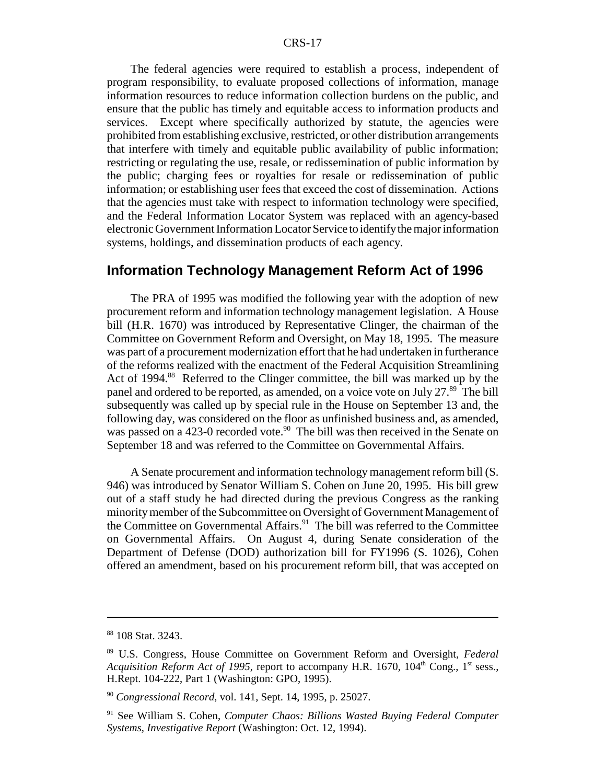The federal agencies were required to establish a process, independent of program responsibility, to evaluate proposed collections of information, manage information resources to reduce information collection burdens on the public, and ensure that the public has timely and equitable access to information products and services. Except where specifically authorized by statute, the agencies were prohibited from establishing exclusive, restricted, or other distribution arrangements that interfere with timely and equitable public availability of public information; restricting or regulating the use, resale, or redissemination of public information by the public; charging fees or royalties for resale or redissemination of public information; or establishing user fees that exceed the cost of dissemination. Actions that the agencies must take with respect to information technology were specified, and the Federal Information Locator System was replaced with an agency-based electronic Government Information Locator Service to identify the major information systems, holdings, and dissemination products of each agency.

# **Information Technology Management Reform Act of 1996**

The PRA of 1995 was modified the following year with the adoption of new procurement reform and information technology management legislation. A House bill (H.R. 1670) was introduced by Representative Clinger, the chairman of the Committee on Government Reform and Oversight, on May 18, 1995. The measure was part of a procurement modernization effort that he had undertaken in furtherance of the reforms realized with the enactment of the Federal Acquisition Streamlining Act of 1994.<sup>88</sup> Referred to the Clinger committee, the bill was marked up by the panel and ordered to be reported, as amended, on a voice vote on July 27.<sup>89</sup> The bill subsequently was called up by special rule in the House on September 13 and, the following day, was considered on the floor as unfinished business and, as amended, was passed on a 423-0 recorded vote.<sup>90</sup> The bill was then received in the Senate on September 18 and was referred to the Committee on Governmental Affairs.

A Senate procurement and information technology management reform bill (S. 946) was introduced by Senator William S. Cohen on June 20, 1995. His bill grew out of a staff study he had directed during the previous Congress as the ranking minority member of the Subcommittee on Oversight of Government Management of the Committee on Governmental Affairs.<sup>91</sup> The bill was referred to the Committee on Governmental Affairs. On August 4, during Senate consideration of the Department of Defense (DOD) authorization bill for FY1996 (S. 1026), Cohen offered an amendment, based on his procurement reform bill, that was accepted on

<sup>88 108</sup> Stat. 3243.

<sup>89</sup> U.S. Congress, House Committee on Government Reform and Oversight, *Federal Acquisition Reform Act of 1995*, report to accompany H.R. 1670,  $104<sup>th</sup>$  Cong.,  $1<sup>st</sup>$  sess., H.Rept. 104-222, Part 1 (Washington: GPO, 1995).

<sup>90</sup> *Congressional Record*, vol. 141, Sept. 14, 1995, p. 25027.

<sup>91</sup> See William S. Cohen, *Computer Chaos: Billions Wasted Buying Federal Computer Systems, Investigative Report* (Washington: Oct. 12, 1994).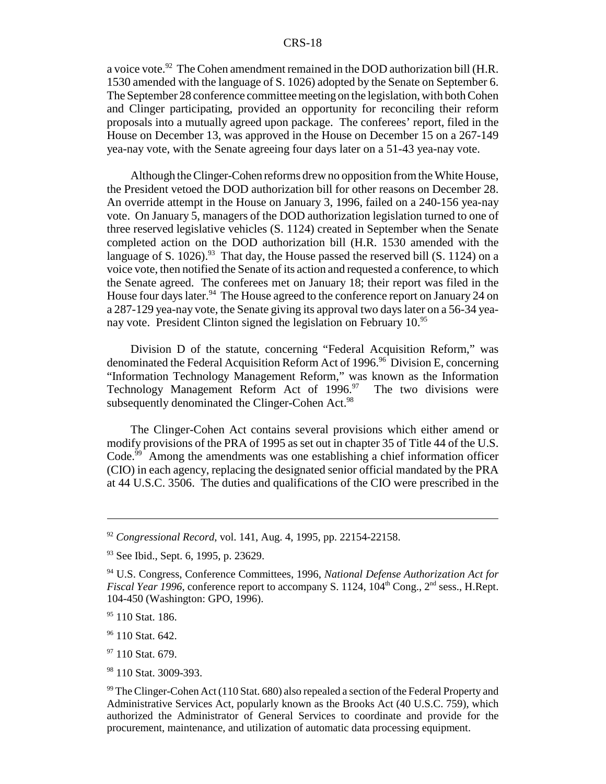a voice vote.<sup>92</sup> The Cohen amendment remained in the DOD authorization bill (H.R. 1530 amended with the language of S. 1026) adopted by the Senate on September 6. The September 28 conference committee meeting on the legislation, with both Cohen and Clinger participating, provided an opportunity for reconciling their reform proposals into a mutually agreed upon package. The conferees' report, filed in the House on December 13, was approved in the House on December 15 on a 267-149 yea-nay vote, with the Senate agreeing four days later on a 51-43 yea-nay vote.

Although the Clinger-Cohen reforms drew no opposition from the White House, the President vetoed the DOD authorization bill for other reasons on December 28. An override attempt in the House on January 3, 1996, failed on a 240-156 yea-nay vote. On January 5, managers of the DOD authorization legislation turned to one of three reserved legislative vehicles (S. 1124) created in September when the Senate completed action on the DOD authorization bill (H.R. 1530 amended with the language of S. 1026).<sup>93</sup> That day, the House passed the reserved bill (S. 1124) on a voice vote, then notified the Senate of its action and requested a conference, to which the Senate agreed. The conferees met on January 18; their report was filed in the House four days later.<sup>94</sup> The House agreed to the conference report on January 24 on a 287-129 yea-nay vote, the Senate giving its approval two days later on a 56-34 yeanay vote. President Clinton signed the legislation on February 10.<sup>95</sup>

Division D of the statute, concerning "Federal Acquisition Reform," was denominated the Federal Acquisition Reform Act of 1996.<sup>96</sup> Division E, concerning "Information Technology Management Reform," was known as the Information Technology Management Reform Act of  $1996<sup>97</sup>$  The two divisions were subsequently denominated the Clinger-Cohen Act.<sup>98</sup>

The Clinger-Cohen Act contains several provisions which either amend or modify provisions of the PRA of 1995 as set out in chapter 35 of Title 44 of the U.S. Code.<sup>99</sup> Among the amendments was one establishing a chief information officer (CIO) in each agency, replacing the designated senior official mandated by the PRA at 44 U.S.C. 3506. The duties and qualifications of the CIO were prescribed in the

<sup>96</sup> 110 Stat. 642.

<sup>97</sup> 110 Stat. 679.

98 110 Stat. 3009-393.

<sup>92</sup> *Congressional Record*, vol. 141, Aug. 4, 1995, pp. 22154-22158.

<sup>&</sup>lt;sup>93</sup> See Ibid., Sept. 6, 1995, p. 23629.

<sup>94</sup> U.S. Congress, Conference Committees, 1996, *National Defense Authorization Act for Fiscal Year 1996*, conference report to accompany S. 1124, 104<sup>th</sup> Cong., 2<sup>nd</sup> sess., H.Rept. 104-450 (Washington: GPO, 1996).

<sup>&</sup>lt;sup>95</sup> 110 Stat. 186.

<sup>&</sup>lt;sup>99</sup> The Clinger-Cohen Act (110 Stat. 680) also repealed a section of the Federal Property and Administrative Services Act, popularly known as the Brooks Act (40 U.S.C. 759), which authorized the Administrator of General Services to coordinate and provide for the procurement, maintenance, and utilization of automatic data processing equipment.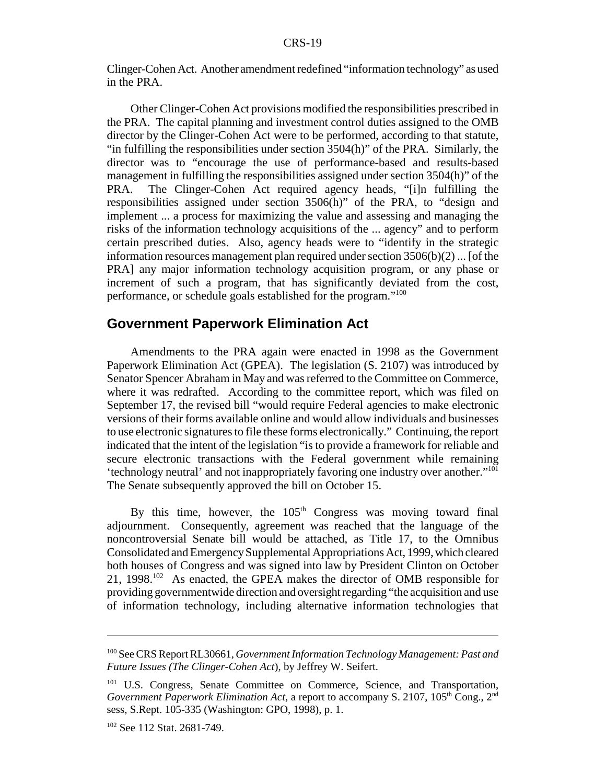Clinger-Cohen Act. Another amendment redefined "information technology" as used in the PRA.

Other Clinger-Cohen Act provisions modified the responsibilities prescribed in the PRA. The capital planning and investment control duties assigned to the OMB director by the Clinger-Cohen Act were to be performed, according to that statute, "in fulfilling the responsibilities under section 3504(h)" of the PRA. Similarly, the director was to "encourage the use of performance-based and results-based management in fulfilling the responsibilities assigned under section 3504(h)" of the PRA. The Clinger-Cohen Act required agency heads, "[i]n fulfilling the responsibilities assigned under section 3506(h)" of the PRA, to "design and implement ... a process for maximizing the value and assessing and managing the risks of the information technology acquisitions of the ... agency" and to perform certain prescribed duties. Also, agency heads were to "identify in the strategic information resources management plan required under section 3506(b)(2) ... [of the PRA] any major information technology acquisition program, or any phase or increment of such a program, that has significantly deviated from the cost, performance, or schedule goals established for the program."100

## **Government Paperwork Elimination Act**

Amendments to the PRA again were enacted in 1998 as the Government Paperwork Elimination Act (GPEA). The legislation (S. 2107) was introduced by Senator Spencer Abraham in May and was referred to the Committee on Commerce, where it was redrafted. According to the committee report, which was filed on September 17, the revised bill "would require Federal agencies to make electronic versions of their forms available online and would allow individuals and businesses to use electronic signatures to file these forms electronically." Continuing, the report indicated that the intent of the legislation "is to provide a framework for reliable and secure electronic transactions with the Federal government while remaining 'technology neutral' and not inappropriately favoring one industry over another."101 The Senate subsequently approved the bill on October 15.

By this time, however, the  $105<sup>th</sup>$  Congress was moving toward final adjournment. Consequently, agreement was reached that the language of the noncontroversial Senate bill would be attached, as Title 17, to the Omnibus Consolidated and Emergency Supplemental Appropriations Act, 1999, which cleared both houses of Congress and was signed into law by President Clinton on October 21, 1998.102 As enacted, the GPEA makes the director of OMB responsible for providing governmentwide direction and oversight regarding "the acquisition and use of information technology, including alternative information technologies that

<sup>100</sup> See CRS Report RL30661, *Government Information Technology Management: Past and Future Issues (The Clinger-Cohen Act*), by Jeffrey W. Seifert.

<sup>&</sup>lt;sup>101</sup> U.S. Congress, Senate Committee on Commerce, Science, and Transportation, *Government Paperwork Elimination Act*, a report to accompany S. 2107, 105<sup>th</sup> Cong., 2<sup>nd</sup> sess, S.Rept. 105-335 (Washington: GPO, 1998), p. 1.

<sup>&</sup>lt;sup>102</sup> See 112 Stat. 2681-749.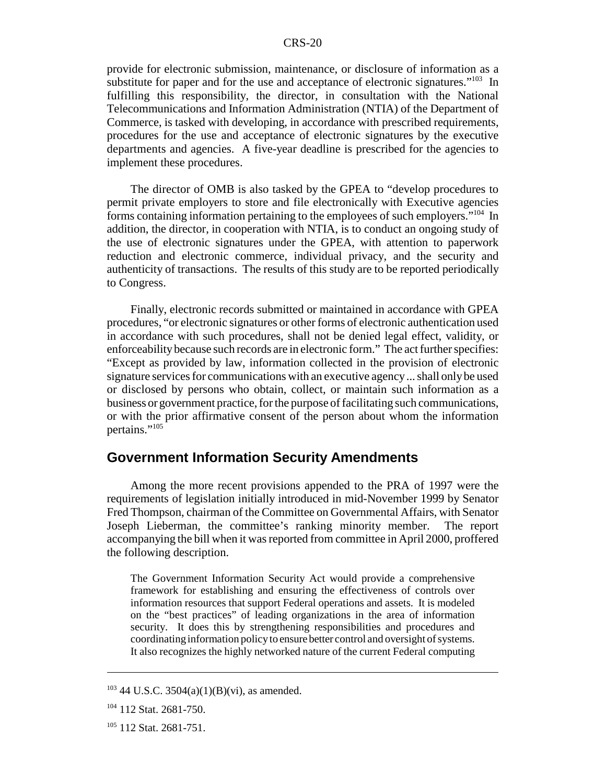provide for electronic submission, maintenance, or disclosure of information as a substitute for paper and for the use and acceptance of electronic signatures."<sup>103</sup> In fulfilling this responsibility, the director, in consultation with the National Telecommunications and Information Administration (NTIA) of the Department of Commerce, is tasked with developing, in accordance with prescribed requirements, procedures for the use and acceptance of electronic signatures by the executive departments and agencies. A five-year deadline is prescribed for the agencies to implement these procedures.

The director of OMB is also tasked by the GPEA to "develop procedures to permit private employers to store and file electronically with Executive agencies forms containing information pertaining to the employees of such employers."104 In addition, the director, in cooperation with NTIA, is to conduct an ongoing study of the use of electronic signatures under the GPEA, with attention to paperwork reduction and electronic commerce, individual privacy, and the security and authenticity of transactions. The results of this study are to be reported periodically to Congress.

Finally, electronic records submitted or maintained in accordance with GPEA procedures, "or electronic signatures or other forms of electronic authentication used in accordance with such procedures, shall not be denied legal effect, validity, or enforceability because such records are in electronic form." The act further specifies: "Except as provided by law, information collected in the provision of electronic signature services for communications with an executive agency ... shall only be used or disclosed by persons who obtain, collect, or maintain such information as a business or government practice, for the purpose of facilitating such communications, or with the prior affirmative consent of the person about whom the information pertains."<sup>105</sup>

## **Government Information Security Amendments**

Among the more recent provisions appended to the PRA of 1997 were the requirements of legislation initially introduced in mid-November 1999 by Senator Fred Thompson, chairman of the Committee on Governmental Affairs, with Senator Joseph Lieberman, the committee's ranking minority member. The report accompanying the bill when it was reported from committee in April 2000, proffered the following description.

The Government Information Security Act would provide a comprehensive framework for establishing and ensuring the effectiveness of controls over information resources that support Federal operations and assets. It is modeled on the "best practices" of leading organizations in the area of information security. It does this by strengthening responsibilities and procedures and coordinating information policy to ensure better control and oversight of systems. It also recognizes the highly networked nature of the current Federal computing

105 112 Stat. 2681-751.

 $103$  44 U.S.C. 3504(a)(1)(B)(vi), as amended.

<sup>104 112</sup> Stat. 2681-750.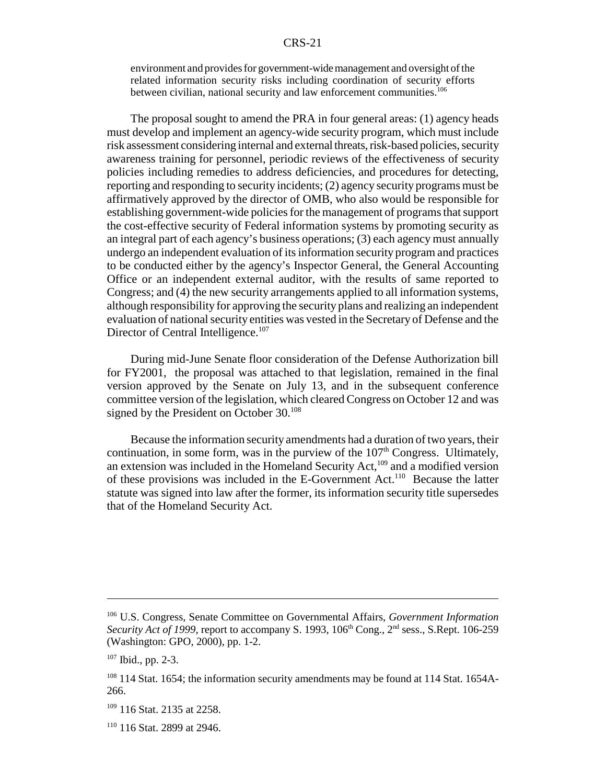environment and provides for government-wide management and oversight of the related information security risks including coordination of security efforts between civilian, national security and law enforcement communities.<sup>106</sup>

The proposal sought to amend the PRA in four general areas: (1) agency heads must develop and implement an agency-wide security program, which must include risk assessment considering internal and external threats, risk-based policies, security awareness training for personnel, periodic reviews of the effectiveness of security policies including remedies to address deficiencies, and procedures for detecting, reporting and responding to security incidents; (2) agency security programs must be affirmatively approved by the director of OMB, who also would be responsible for establishing government-wide policies for the management of programs that support the cost-effective security of Federal information systems by promoting security as an integral part of each agency's business operations; (3) each agency must annually undergo an independent evaluation of its information security program and practices to be conducted either by the agency's Inspector General, the General Accounting Office or an independent external auditor, with the results of same reported to Congress; and (4) the new security arrangements applied to all information systems, although responsibility for approving the security plans and realizing an independent evaluation of national security entities was vested in the Secretary of Defense and the Director of Central Intelligence.<sup>107</sup>

During mid-June Senate floor consideration of the Defense Authorization bill for FY2001, the proposal was attached to that legislation, remained in the final version approved by the Senate on July 13, and in the subsequent conference committee version of the legislation, which cleared Congress on October 12 and was signed by the President on October 30.<sup>108</sup>

Because the information security amendments had a duration of two years, their continuation, in some form, was in the purview of the  $107<sup>th</sup>$  Congress. Ultimately, an extension was included in the Homeland Security Act,<sup>109</sup> and a modified version of these provisions was included in the E-Government Act.110 Because the latter statute was signed into law after the former, its information security title supersedes that of the Homeland Security Act.

<sup>106</sup> U.S. Congress, Senate Committee on Governmental Affairs, *Government Information Security Act of 1999*, report to accompany S. 1993, 106<sup>th</sup> Cong., 2<sup>nd</sup> sess., S.Rept. 106-259 (Washington: GPO, 2000), pp. 1-2.

 $107$  Ibid., pp. 2-3.

<sup>&</sup>lt;sup>108</sup> 114 Stat. 1654; the information security amendments may be found at 114 Stat. 1654A-266.

<sup>109 116</sup> Stat. 2135 at 2258.

<sup>110 116</sup> Stat. 2899 at 2946.